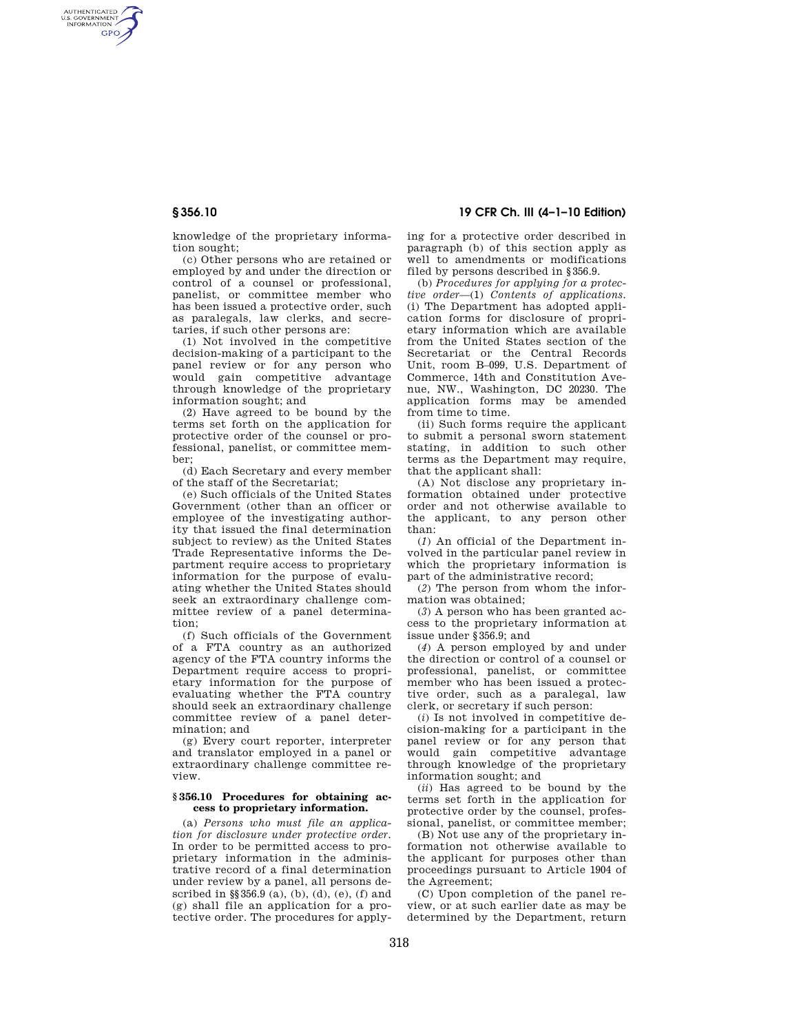AUTHENTICATED<br>U.S. GOVERNMENT<br>INFORMATION **GPO** 

**§ 356.10 19 CFR Ch. III (4–1–10 Edition)** 

knowledge of the proprietary information sought;

(c) Other persons who are retained or employed by and under the direction or control of a counsel or professional, panelist, or committee member who has been issued a protective order, such as paralegals, law clerks, and secretaries, if such other persons are:

(1) Not involved in the competitive decision-making of a participant to the panel review or for any person who would gain competitive advantage through knowledge of the proprietary information sought; and

(2) Have agreed to be bound by the terms set forth on the application for protective order of the counsel or professional, panelist, or committee member;

(d) Each Secretary and every member of the staff of the Secretariat;

(e) Such officials of the United States Government (other than an officer or employee of the investigating authority that issued the final determination subject to review) as the United States Trade Representative informs the Department require access to proprietary information for the purpose of evaluating whether the United States should seek an extraordinary challenge committee review of a panel determination;

(f) Such officials of the Government of a FTA country as an authorized agency of the FTA country informs the Department require access to proprietary information for the purpose of evaluating whether the FTA country should seek an extraordinary challenge committee review of a panel determination; and

(g) Every court reporter, interpreter and translator employed in a panel or extraordinary challenge committee review.

## **§ 356.10 Procedures for obtaining access to proprietary information.**

(a) *Persons who must file an application for disclosure under protective order.*  In order to be permitted access to proprietary information in the administrative record of a final determination under review by a panel, all persons described in §§356.9 (a), (b), (d), (e), (f) and (g) shall file an application for a protective order. The procedures for applying for a protective order described in paragraph (b) of this section apply as well to amendments or modifications filed by persons described in §356.9.

(b) *Procedures for applying for a protective order*—(1) *Contents of applications.*  (i) The Department has adopted application forms for disclosure of proprietary information which are available from the United States section of the Secretariat or the Central Records Unit, room B–099, U.S. Department of Commerce, 14th and Constitution Avenue, NW., Washington, DC 20230. The application forms may be amended from time to time.

(ii) Such forms require the applicant to submit a personal sworn statement stating, in addition to such other terms as the Department may require, that the applicant shall:

(A) Not disclose any proprietary information obtained under protective order and not otherwise available to the applicant, to any person other than:

(*1*) An official of the Department involved in the particular panel review in which the proprietary information is part of the administrative record;

(*2*) The person from whom the information was obtained;

(*3*) A person who has been granted access to the proprietary information at issue under §356.9; and

(*4*) A person employed by and under the direction or control of a counsel or professional, panelist, or committee member who has been issued a protective order, such as a paralegal, law clerk, or secretary if such person:

(*i*) Is not involved in competitive decision-making for a participant in the panel review or for any person that would gain competitive advantage through knowledge of the proprietary information sought; and

(*ii*) Has agreed to be bound by the terms set forth in the application for protective order by the counsel, professional, panelist, or committee member;

(B) Not use any of the proprietary information not otherwise available to the applicant for purposes other than proceedings pursuant to Article 1904 of the Agreement;

(C) Upon completion of the panel review, or at such earlier date as may be determined by the Department, return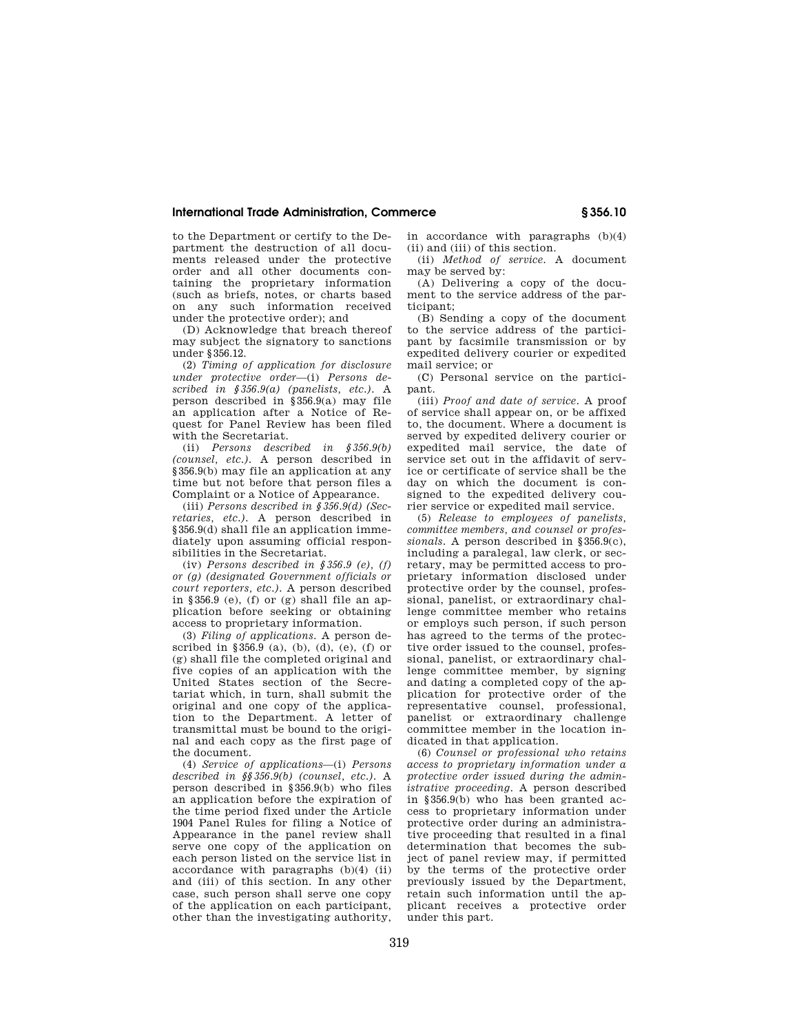# **International Trade Administration, Commerce § 356.10**

to the Department or certify to the Department the destruction of all documents released under the protective order and all other documents containing the proprietary information (such as briefs, notes, or charts based on any such information received under the protective order); and

(D) Acknowledge that breach thereof may subject the signatory to sanctions under §356.12.

(2) *Timing of application for disclosure under protective order*—(i) *Persons described in §356.9(a) (panelists, etc.).* A person described in §356.9(a) may file an application after a Notice of Request for Panel Review has been filed with the Secretariat.

(ii) *Persons described in §356.9(b) (counsel, etc.).* A person described in §356.9(b) may file an application at any time but not before that person files a Complaint or a Notice of Appearance.

(iii) *Persons described in §356.9(d) (Secretaries, etc.).* A person described in §356.9(d) shall file an application immediately upon assuming official responsibilities in the Secretariat.

(iv) *Persons described in §356.9 (e), (f) or (g) (designated Government officials or court reporters, etc.).* A person described in  $$356.9$  (e), (f) or (g) shall file an application before seeking or obtaining access to proprietary information.

(3) *Filing of applications.* A person described in §356.9 (a), (b), (d), (e), (f) or (g) shall file the completed original and five copies of an application with the United States section of the Secretariat which, in turn, shall submit the original and one copy of the application to the Department. A letter of transmittal must be bound to the original and each copy as the first page of the document.

(4) *Service of applications*—(i) *Persons described in §§356.9(b) (counsel, etc.).* A person described in §356.9(b) who files an application before the expiration of the time period fixed under the Article 1904 Panel Rules for filing a Notice of Appearance in the panel review shall serve one copy of the application on each person listed on the service list in accordance with paragraphs (b)(4) (ii) and (iii) of this section. In any other case, such person shall serve one copy of the application on each participant, other than the investigating authority,

in accordance with paragraphs (b)(4) (ii) and (iii) of this section.

(ii) *Method of service.* A document may be served by:

(A) Delivering a copy of the document to the service address of the participant;

(B) Sending a copy of the document to the service address of the participant by facsimile transmission or by expedited delivery courier or expedited mail service; or

(C) Personal service on the participant.

(iii) *Proof and date of service.* A proof of service shall appear on, or be affixed to, the document. Where a document is served by expedited delivery courier or expedited mail service, the date of service set out in the affidavit of service or certificate of service shall be the day on which the document is consigned to the expedited delivery courier service or expedited mail service.

(5) *Release to employees of panelists, committee members, and counsel or professionals.* A person described in §356.9(c), including a paralegal, law clerk, or secretary, may be permitted access to proprietary information disclosed under protective order by the counsel, professional, panelist, or extraordinary challenge committee member who retains or employs such person, if such person has agreed to the terms of the protective order issued to the counsel, professional, panelist, or extraordinary challenge committee member, by signing and dating a completed copy of the application for protective order of the representative counsel, professional, panelist or extraordinary challenge committee member in the location indicated in that application.

(6) *Counsel or professional who retains access to proprietary information under a protective order issued during the administrative proceeding.* A person described in §356.9(b) who has been granted access to proprietary information under protective order during an administrative proceeding that resulted in a final determination that becomes the subject of panel review may, if permitted by the terms of the protective order previously issued by the Department, retain such information until the applicant receives a protective order under this part.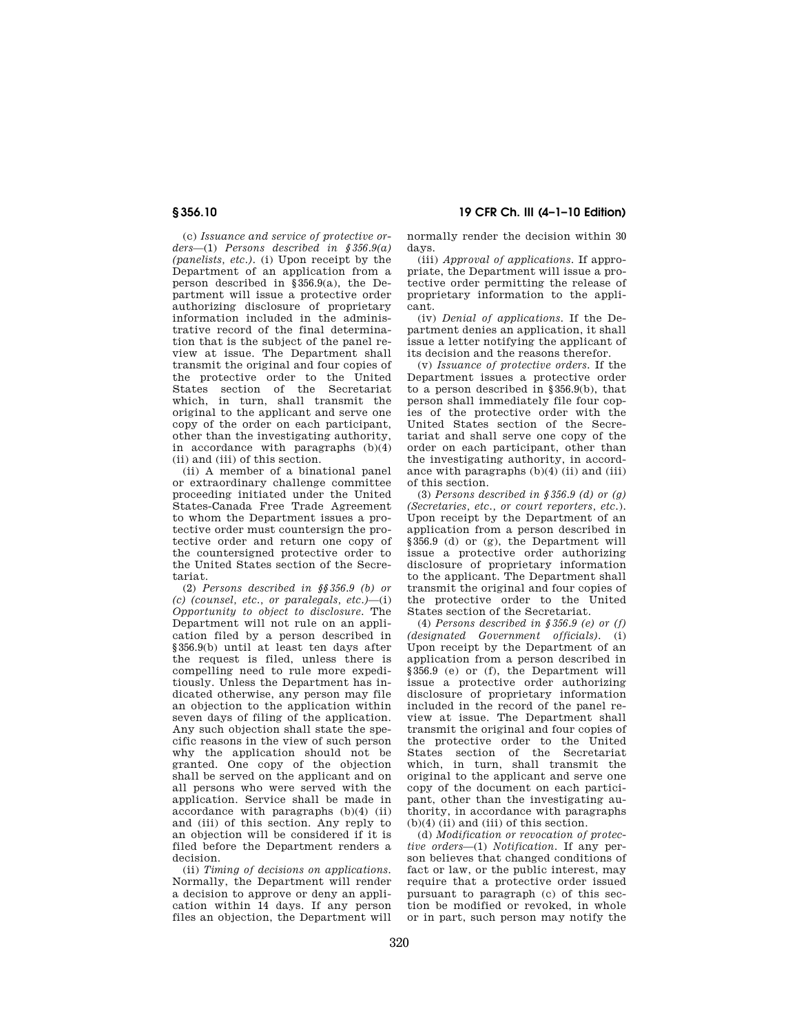(c) *Issuance and service of protective orders*—(1) *Persons described in §356.9(a) (panelists, etc.).* (i) Upon receipt by the Department of an application from a person described in §356.9(a), the Department will issue a protective order authorizing disclosure of proprietary information included in the administrative record of the final determination that is the subject of the panel review at issue. The Department shall transmit the original and four copies of the protective order to the United States section of the Secretariat which, in turn, shall transmit the original to the applicant and serve one copy of the order on each participant, other than the investigating authority, in accordance with paragraphs  $(b)(4)$ (ii) and (iii) of this section.

(ii) A member of a binational panel or extraordinary challenge committee proceeding initiated under the United States-Canada Free Trade Agreement to whom the Department issues a protective order must countersign the protective order and return one copy of the countersigned protective order to the United States section of the Secretariat.

(2) *Persons described in §§356.9 (b) or (c) (counsel, etc., or paralegals, etc.)*—(i) *Opportunity to object to disclosure.* The Department will not rule on an application filed by a person described in §356.9(b) until at least ten days after the request is filed, unless there is compelling need to rule more expeditiously. Unless the Department has indicated otherwise, any person may file an objection to the application within seven days of filing of the application. Any such objection shall state the specific reasons in the view of such person why the application should not be granted. One copy of the objection shall be served on the applicant and on all persons who were served with the application. Service shall be made in accordance with paragraphs (b)(4) (ii) and (iii) of this section. Any reply to an objection will be considered if it is filed before the Department renders a decision.

(ii) *Timing of decisions on applications.*  Normally, the Department will render a decision to approve or deny an application within 14 days. If any person files an objection, the Department will

**§ 356.10 19 CFR Ch. III (4–1–10 Edition)** 

normally render the decision within 30 days.

(iii) *Approval of applications.* If appropriate, the Department will issue a protective order permitting the release of proprietary information to the applicant.

(iv) *Denial of applications.* If the Department denies an application, it shall issue a letter notifying the applicant of its decision and the reasons therefor.

(v) *Issuance of protective orders.* If the Department issues a protective order to a person described in §356.9(b), that person shall immediately file four copies of the protective order with the United States section of the Secretariat and shall serve one copy of the order on each participant, other than the investigating authority, in accordance with paragraphs  $(b)(4)$  (ii) and (iii) of this section.

(3) *Persons described in §356.9 (d) or (g) (Secretaries, etc., or court reporters, etc.*). Upon receipt by the Department of an application from a person described in §356.9 (d) or (g), the Department will issue a protective order authorizing disclosure of proprietary information to the applicant. The Department shall transmit the original and four copies of the protective order to the United States section of the Secretariat.

(4) *Persons described in §356.9 (e) or (f) (designated Government officials).* (i) Upon receipt by the Department of an application from a person described in §356.9 (e) or (f), the Department will issue a protective order authorizing disclosure of proprietary information included in the record of the panel review at issue. The Department shall transmit the original and four copies of the protective order to the United States section of the Secretariat which, in turn, shall transmit the original to the applicant and serve one copy of the document on each participant, other than the investigating authority, in accordance with paragraphs  $(b)(4)$  (ii) and (iii) of this section.

(d) *Modification or revocation of protective orders*—(1) *Notification.* If any person believes that changed conditions of fact or law, or the public interest, may require that a protective order issued pursuant to paragraph (c) of this section be modified or revoked, in whole or in part, such person may notify the